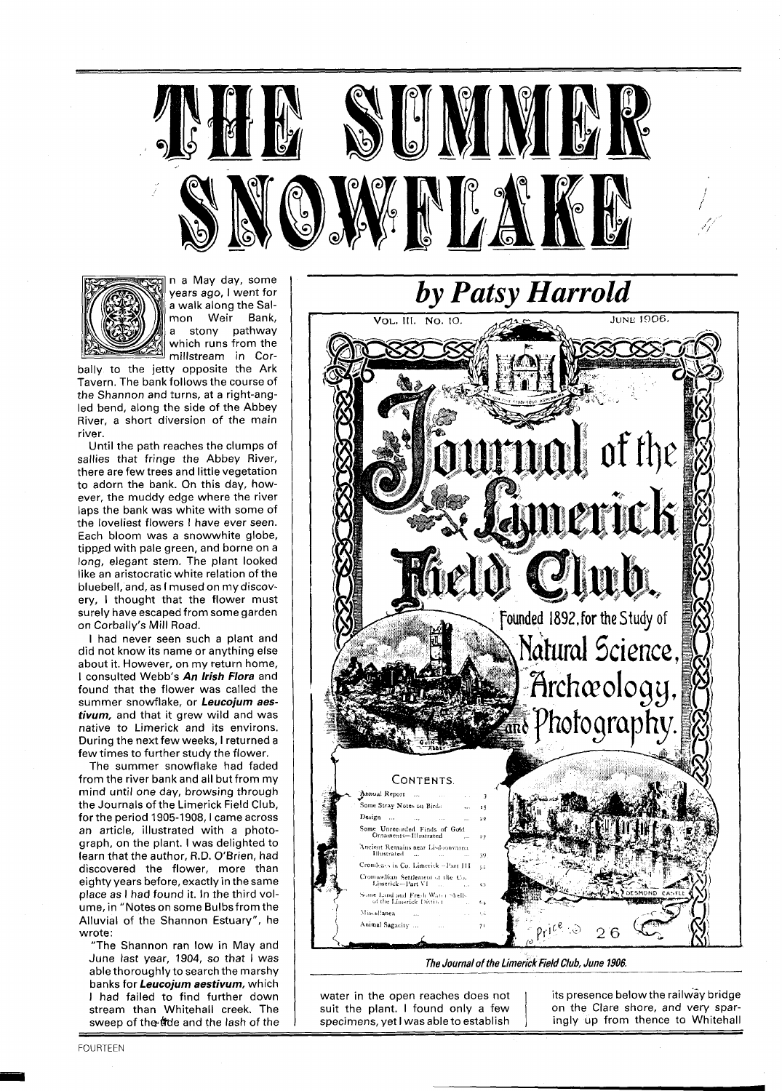



n a May day, some years ago, I went for a walk along the Salmon Weir Bank, a stony pathway which runs from the millstream in Cor-

bally to the jetty opposite the Ark Tavern. The bank follows the course of the Shannon and turns, at a right-angled bend, along the side of the Abbey River, a short diversion of the main river.

Until the path reaches the clumps of sallies that fringe the Abbey River, there are few trees and little vegetation to adorn the bank. On this day, however, the muddy edge where the river laps the bank was white with some of the loveliest flowers I have ever seen. Each bloom was a snowwhite globe, tipped with pale green, and borne on a long, elegant stem. The plant looked like an aristocratic white relation of the bluebell, and, as I mused on my discovery, I thought that the flower must surely have escaped from some garden on Corbally's Mill Road.

I had never seen such a plant and did not know its name or anything else about it. However, on my return home, I consulted Webb's **An Irish Flora** and found that the flower was called the summer snowflake, or **Leucojum aestivum,** and that it grew wild and was native to Limerick and its environs. During the next few weeks, I returned a few times to further study the flower.

The summer snowflake had faded from the river bank and all but from my mind until one day, browsing through the Journals of the Limerick Field Club, for the period 1905-1908, I came across an article, illustrated with a photograph, on the plant. I was delighted to learn that the author, R.D. O'Brien, had discovered the flower, more than eighty years before, exactly in the same place as I had found it. In the third volume, in "Notes on some Bulbsfrom the Alluvial of the Shannon Estuary", he wrote:

"The Shannon ran low in May and June last year, 1904, so that I was able thoroughly to search the marshy banks for **Leucojum aestivum,** which I had failed to find further down stream than Whitehall creek. The sweep of the tide and the lash of the



The Journal of the Limerick Field Club, June 1906.

water in the open reaches does not its presence below the railway bridge<br>suit the plant. I found only a few on the Clare shore, and very sparsuit the plant. I found only a few

specimens, yet I was able to establish ingly up from thence to Whitehall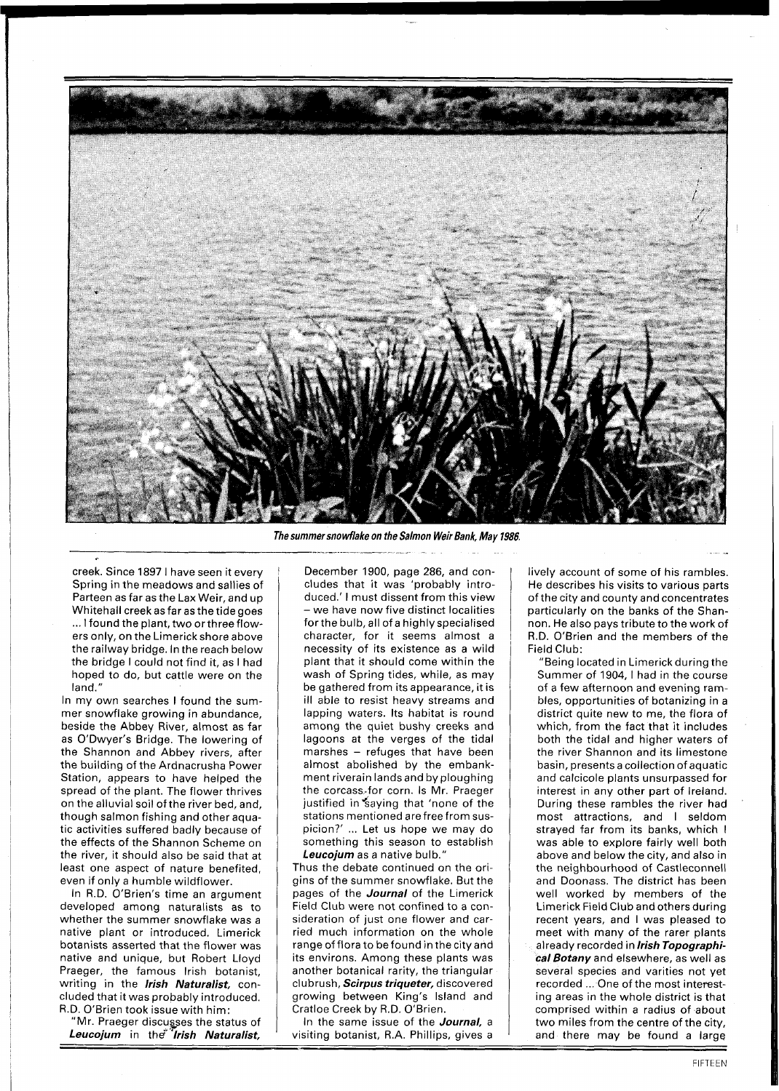

**The summer snowflake on the Salmon Weir Bank, May 1986.** 

creek. Since 1897 1 have seen it every Spring in the meadows and sallies of Parteen as far as the Lax Weir, and up Whitehall creek as far as the tide goes ... I found the plant, two orthree flowers only, on the Limerick shore above the railway bridge. In the reach below the bridge I could not find it, as I had hoped to do, but cattle were on the land."

In my own searches I found the summer snowflake growing in abundance, beside the Abbey River, almost as far as O'Dwyer's Bridge. The lowering of the Shannon and Abbey rivers, after the building of the Ardnacrusha Power Station, appears to have helped the spread of the plant. The flower thrives on the alluvial soil of the river bed, and, though salmon fishing and other aquatic activities suffered badly because of the effects of the Shannon Scheme on the river, it should also be said that at least one aspect of nature benefited, even if only a humble wildflower.

In R.D. O'Brien's time an argument developed among naturalists as to whether the summer snowflake was a native plant or introduced. Limerick botanists asserted that the flower was native and unique, but Robert Lloyd Praeger, the famous lrish botanist, writing in the *Irish Naturalist,* concluded that it was probably introduced.<br>
R.D. O'Brien took issue with him:<br>
"Mr. Praeger discusses the status of<br>
Leucojum in the *firish Naturalist*, cluded that it was probably introduced. R.D. O'Brien took issue with him:

"Mr. Praeger discugses the status of **Leucojum** in th\$ **"Irish Naturalist,** 

December 1900, page 286, and concludes that it was 'probably introduced.' I must dissent from this view -we have now five distinct localities for the bulb, all of a highly specialised character, for it seems almost a necessity of its existence as a wild plant that it should come within the wash of Spring tides, while, as may be gathered from its appearance, it is ill able to resist heavy streams and lapping waters. Its habitat is round among the quiet bushy creeks and lagoons at the verges of the tidal marshes - refuges that have been almost abolished by the embankment riverain landsand by ploughing the corcass-for corn. Is Mr. Praeger justified in saying that 'none of the stations mentioned are free from suspicion?' ... Let us hope we may do something this season to establish **Leucojum** as a native bulb."

Thus the debate continued on the origins of the summer snowflake. But the pages of the **Journal** of the Limerick Field Club were not confined to a consideration of just one flower and carried much information on the whole range of flora to be found in the city and its environs. Among these plants was another botanical rarity, the triangular clubrush, **Scirpus triqueter,** discovered growing between King's Island and Cratloe Creek by R.D. O'Brien.

In the same issue of the **Journal,** a visiting botanist, R.A. Phillips, gives a lively account of some of his rambles. He describes his visits to various parts of the city and county and concentrates particularly on the banks of the Shannon. He also pays tribute to the work of R.D. O'Brien and the members of the Field Club:

"Being located in Limerick during the Summer of 1904, I had in the course of a few afternoon and evening rambles, opportunities of botanizing in a district quite new to me, the flora of which, from the fact that it includes both the tidal and higher waters of the river Shannon and its limestone basin, presents a collection of aquatic and calcicole plants unsurpassed for interest in any other part of Ireland. During these rambles the river had most attractions, and I seldom strayed far from its banks, which I was able to explore fairly well both above and below the city, and also in the neighbourhood of Castleconnell and Doonass. The district has been well worked by members of the Limerick Field Club and others during recent years, and I was pleased to meet with many of the rarer plants already recorded in **lrish Topographical Botany** and elsewhere, as well as several species and varities not yet recorded ... One of the most interesting areas in the whole district is that comprised within a radius of about two miles from the centre of the city, and there may be found a large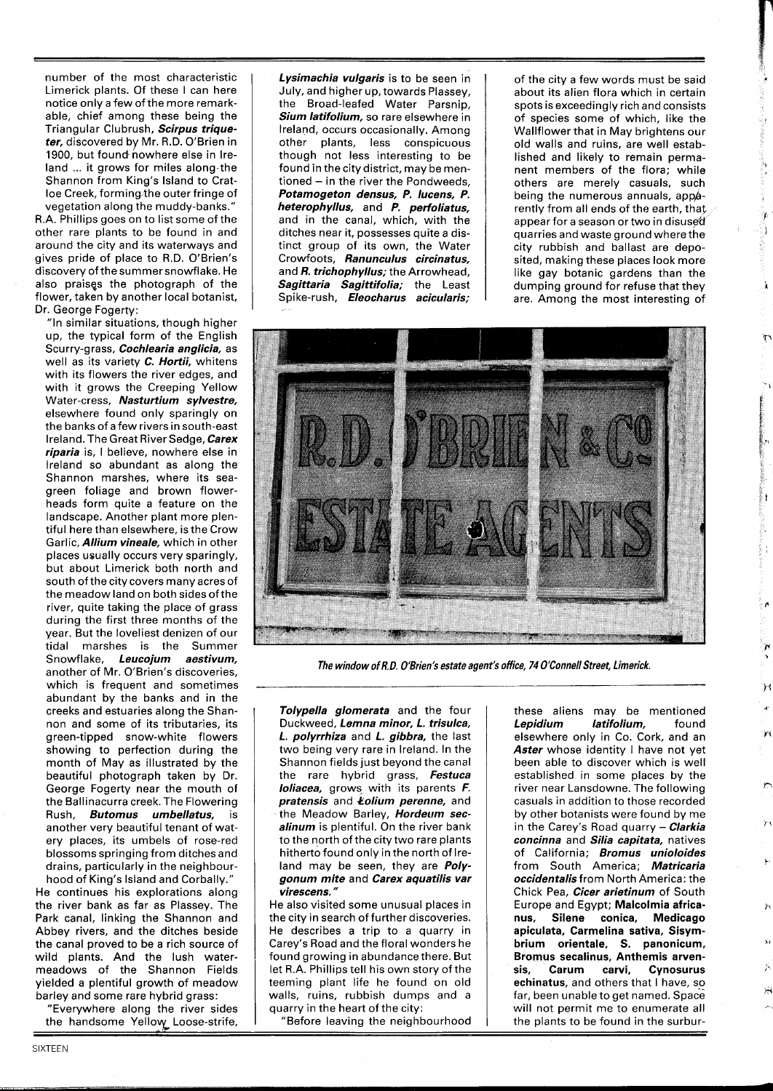number of the most characteristic Limerick plants. Of these I can here notice only a few of the more remarkable, chief among these being the Triangular Clubrush, **Scirpus triqueter,** discovered by Mr. R.D. O'Brien in 1900, but found nowhere else in Ireland ... it grows for miles along the Shannon from King's Island to Cratloe Creek, forming the outer fringe of vegetation along the muddy-banks."

R.A. Phillips goes on to list some of the other rare plants to be found in and around the city and its waterways and gives pride of place to R.D. O'Brien's discovery of the summer snowflake. He also praises the photograph of the flower, taken by another local botanist, Dr. George Fogerty:

"In similar situations, though higher up, the typical form of the English Scu rry-g rass, **Cochlearia anglicia,** as well as its variety **C. Hortii,** whitens with its flowers the river edges, and with it grows the Creeping Yellow Water-cress, **Nasturtium sylvestre,**  elsewhere found only sparingly on the banks of a few rivers in south-east Ireland. The Great River Sedge, **Carex riparia** is, I believe, nowhere else in Ireland so abundant as along the Shannon marshes, where its seagreen foliage and brown flowerheads form quite a feature on the landscape. Another plant more plentiful here than elsewhere, is the Crow Garlic, **Allium vineale,** which in other places usually occurs very sparingly, but about Limerick both north and south of the city covers many acres of the meadow land on both sides ofthe river, quite taking the place of grass during the first three months of the year. But the loveliest denizen of our tidal marshes is the Summer Snowflake, **Leucojum aestivum,**  another of Mr. O'Brien's discoveries, which is frequent and sometimes abundant by the banks and in the creeks and estuaries along the Shannon and some of its tributaries, its green-tipped snow-white flowers showing to perfection during the month of May as illustrated by the beautiful photograph taken by Dr. George Fogerty near the mouth of the Ballinacurra creek. The Flowering Rush, **Butomus umbellatus,** is another very beautiful tenant of watery places, its umbels of rose-red blossoms springing from ditches and drains, particularly in the neighbour-

hood of King's Island and Corbally." He continues his explorations along the river bank as far as Plassey. The Park canal, linking the Shannon and Abbey rivers, and the ditches beside the canal proved to be a rich source of wild plants. And the lush watermeadows of the Shannon Fields yielded a plentiful growth of meadow barley and some rare hybrid grass:

"Everywhere along the river sides

the handsome Yellow Loose-strife,

**Lysimachia vulgaris** is to be seen in July, and higher up, towards Plassey, the Broad-leafed Water Parsnip, **Sium latifolium,** so rare elsewhere in Ireland, occurs occasionally. Among other plants, less conspicuous though not less interesting to be found in the city district, may be mentioned - in the river the Pondweeds, **Potamogeton densus, P. lucens, P. heterophyllus,** and **P. perfoliatus,**  and in the canal, which, with the ditches near it, possesses quite a distinct group of its own, the Water Crowfoots, **Ranunculus circinatus,**  and **R. trichophyllus;** the Arrowhead, Sagittaria Sagittifolia; the Least Spike-rush, *Eleocharus acicularis;*  of the city a few words must be said about its alien flora which in certain spots is exceedingly rich and consists of species some of which, like the Wallflower that in May brightens our old walls and ruins, are well established and likely to remain permanent members of the flora; while others are merely casuals, such being the numerous annuals, apparently from all ends of the earth, that appear for a season or two in disused quarries and waste ground where the city rubbish and ballast are deposited, making these places look more like gay botanic gardens than the dumping ground for refuse that they are. Among the most interesting of

ģ, S Ì

À

ី 1



**The window of R. D. O'Brien's estate agent's office, 74 O'Connell Street, Limerick.** 

**Tolypella glomerata** and the four Duckweed, **Lemna minor, L. trisulca, L. polyrrhiza** and **L. gibbra,** the last two being very rare in Ireland. In the Shannon fields just beyond the canal the rare hybrid grass, **Festuca loliacea,** grows with its parents **F. pratensis** and **Yolium perenne,** and the Meadow Barley, **Hordeum secalinum** is plentiful. On the river bank to the north of the city two rare plants hitherto found only in the north of Ireland may be seen, they are **Polygonum mite** and **Carex aquatilis var virescens.** "

He also visited some unusual places in the city in search of further discoveries. He describes a trip to a quarry in Carey's Road and the floral wonders he found growing in abundance there. But let R.A. Phillips tell his own story of the teeming plant life he found on old walls, ruins, rubbish dumps and a quarry in the heart of the city:

"Before leaving the neighbourhood

these aliens may be mentioned<br>**Lepidium latifolium**, found *latifolium*, found elsewhere only in Co. Cork, and an Aster whose identity I have not yet been able to discover which is well established in some places by the river near Lansdowne. The following casuals in addition to those recorded by other botanists were found by me in the Carey's Road quarry - **Clarkia concinna** and **Silia capitata,** natives of California; **Bromus unioloides**  from South America; **Matricaria occidentalis** from North America: the Chick Pea, **Cicer arietinum** of South Europe and Egypt; Malcolmia africa-<br>nus, Silene conica, Medicago Silene conica, Medicago apiculata, Carmelina sativa, Sisymbrium orientale, S. panonicum, Bromus secalinus, Anthemis arvensis, Carum carvi, Cynosurus echinatus, and others that I have, so far, been unable to get named. Space will not permit me to enumerate all the plants to be found in the surbur-